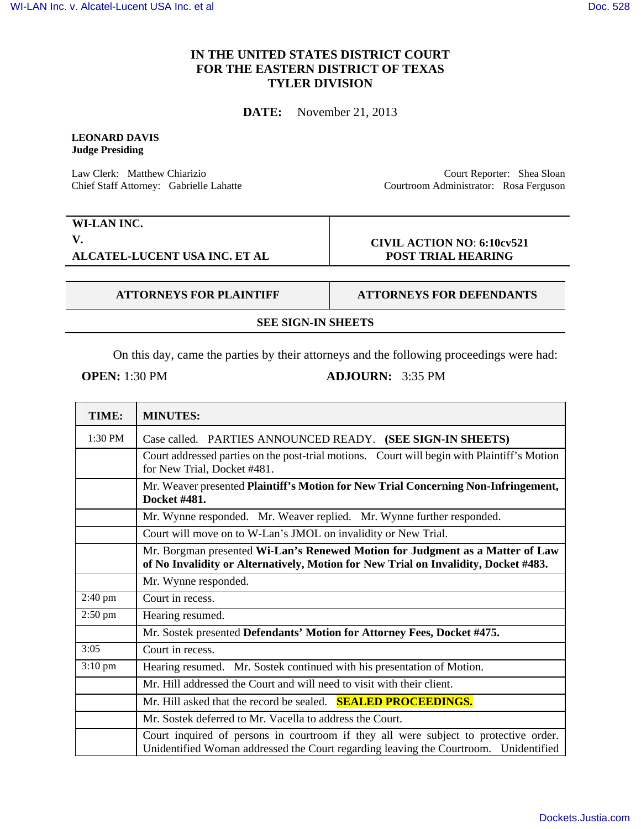## **IN THE UNITED STATES DISTRICT COURT FOR THE EASTERN DISTRICT OF TEXAS TYLER DIVISION**

**DATE:** November 21, 2013

## **LEONARD DAVIS Judge Presiding**

Law Clerk: Matthew Chiarizio Chief Staff Attorney: Gabrielle Lahatte

Court Reporter: Shea Sloan Courtroom Administrator: Rosa Ferguson

**WI-LAN INC. V. ALCATEL-LUCENT USA INC. ET AL** 

## **CIVIL ACTION NO**: **6:10cv521 POST TRIAL HEARING**

**ATTORNEYS FOR PLAINTIFF ATTORNEYS FOR DEFENDANTS** 

**SEE SIGN-IN SHEETS**

On this day, came the parties by their attorneys and the following proceedings were had:

**OPEN:** 1:30 PM **ADJOURN:** 3:35 PM

| TIME:             | <b>MINUTES:</b>                                                                                                                                                              |
|-------------------|------------------------------------------------------------------------------------------------------------------------------------------------------------------------------|
| 1:30 PM           | Case called. PARTIES ANNOUNCED READY. (SEE SIGN-IN SHEETS)                                                                                                                   |
|                   | Court addressed parties on the post-trial motions. Court will begin with Plaintiff's Motion<br>for New Trial, Docket #481.                                                   |
|                   | Mr. Weaver presented Plaintiff's Motion for New Trial Concerning Non-Infringement,<br>Docket #481.                                                                           |
|                   | Mr. Wynne responded. Mr. Weaver replied. Mr. Wynne further responded.                                                                                                        |
|                   | Court will move on to W-Lan's JMOL on invalidity or New Trial.                                                                                                               |
|                   | Mr. Borgman presented Wi-Lan's Renewed Motion for Judgment as a Matter of Law<br>of No Invalidity or Alternatively, Motion for New Trial on Invalidity, Docket #483.         |
|                   | Mr. Wynne responded.                                                                                                                                                         |
| $2:40 \text{ pm}$ | Court in recess.                                                                                                                                                             |
| $2:50$ pm         | Hearing resumed.                                                                                                                                                             |
|                   | Mr. Sostek presented Defendants' Motion for Attorney Fees, Docket #475.                                                                                                      |
| 3:05              | Court in recess.                                                                                                                                                             |
| $3:10 \text{ pm}$ | Hearing resumed. Mr. Sostek continued with his presentation of Motion.                                                                                                       |
|                   | Mr. Hill addressed the Court and will need to visit with their client.                                                                                                       |
|                   | Mr. Hill asked that the record be sealed. <b>SEALED PROCEEDINGS.</b>                                                                                                         |
|                   | Mr. Sostek deferred to Mr. Vacella to address the Court.                                                                                                                     |
|                   | Court inquired of persons in courtroom if they all were subject to protective order.<br>Unidentified Woman addressed the Court regarding leaving the Courtroom. Unidentified |